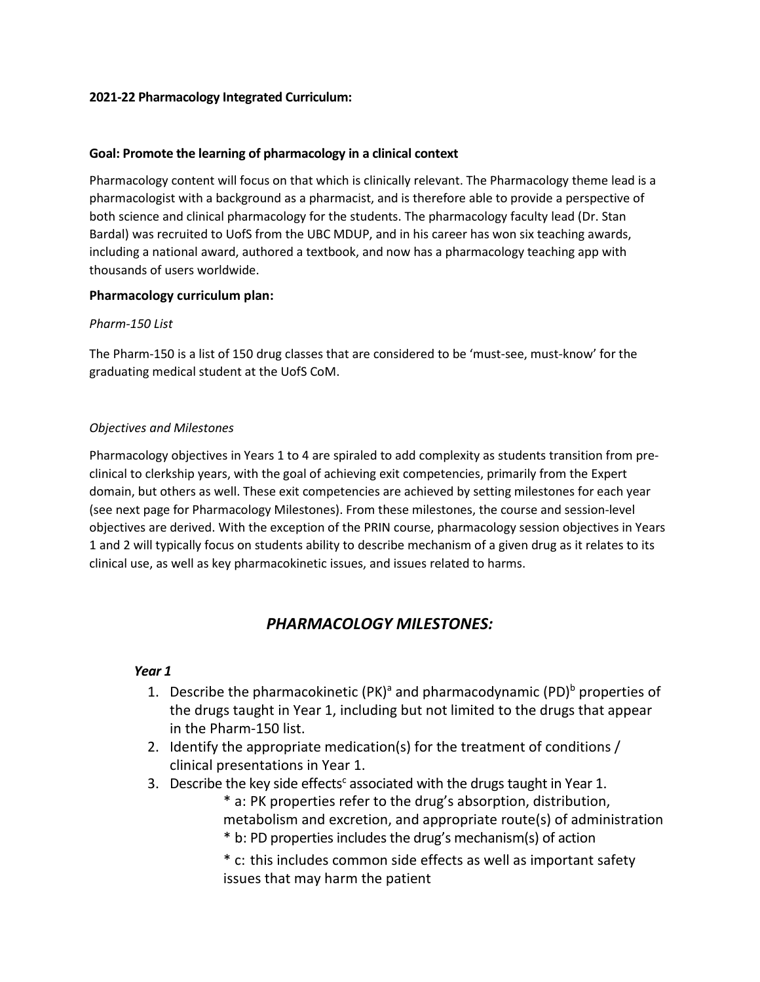#### **2021-22 Pharmacology Integrated Curriculum:**

### **Goal: Promote the learning of pharmacology in a clinical context**

Pharmacology content will focus on that which is clinically relevant. The Pharmacology theme lead is a pharmacologist with a background as a pharmacist, and is therefore able to provide a perspective of both science and clinical pharmacology for the students. The pharmacology faculty lead (Dr. Stan Bardal) was recruited to UofS from the UBC MDUP, and in his career has won six teaching awards, including a national award, authored a textbook, and now has a pharmacology teaching app with thousands of users worldwide.

### **Pharmacology curriculum plan:**

### *Pharm-150 List*

The Pharm-150 is a list of 150 drug classes that are considered to be 'must-see, must-know' for the graduating medical student at the UofS CoM.

### *Objectives and Milestones*

Pharmacology objectives in Years 1 to 4 are spiraled to add complexity as students transition from preclinical to clerkship years, with the goal of achieving exit competencies, primarily from the Expert domain, but others as well. These exit competencies are achieved by setting milestones for each year (see next page for Pharmacology Milestones). From these milestones, the course and session-level objectives are derived. With the exception of the PRIN course, pharmacology session objectives in Years 1 and 2 will typically focus on students ability to describe mechanism of a given drug as it relates to its clinical use, as well as key pharmacokinetic issues, and issues related to harms.

## *PHARMACOLOGY MILESTONES:*

#### *Year 1*

- 1. Describe the pharmacokinetic  $(PK)^a$  and pharmacodynamic  $(PD)^b$  properties of the drugs taught in Year 1, including but not limited to the drugs that appear in the Pharm-150 list.
- 2. Identify the appropriate medication(s) for the treatment of conditions / clinical presentations in Year 1.
- 3. Describe the key side effects $c$  associated with the drugs taught in Year 1.
	- \* a: PK properties refer to the drug's absorption, distribution, metabolism and excretion, and appropriate route(s) of administration \* b: PD properties includes the drug's mechanism(s) of action
	- \* c: this includes common side effects as well as important safety issues that may harm the patient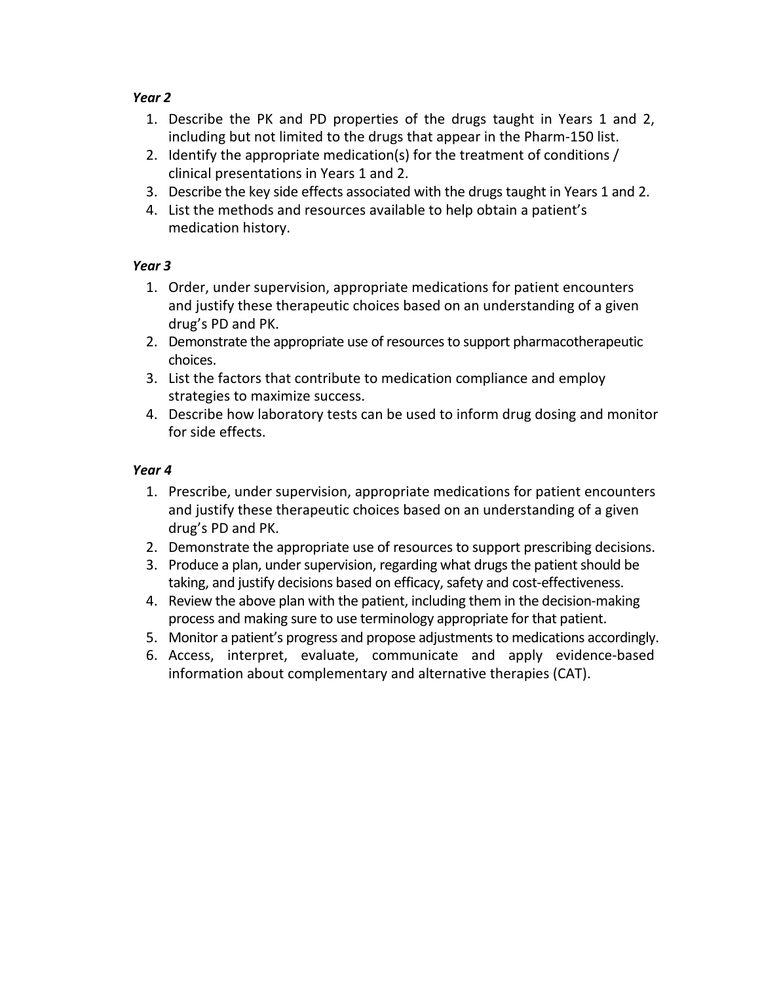## *Year 2*

- 1. Describe the PK and PD properties of the drugs taught in Years 1 and 2, including but not limited to the drugs that appear in the Pharm-150 list.
- 2. Identify the appropriate medication(s) for the treatment of conditions / clinical presentations in Years 1 and 2.
- 3. Describe the key side effects associated with the drugs taught in Years 1 and 2.
- 4. List the methods and resources available to help obtain a patient's medication history.

## *Year 3*

- 1. Order, under supervision, appropriate medications for patient encounters and justify these therapeutic choices based on an understanding of a given drug's PD and PK.
- 2. Demonstrate the appropriate use of resources to support pharmacotherapeutic choices.
- 3. List the factors that contribute to medication compliance and employ strategies to maximize success.
- 4. Describe how laboratory tests can be used to inform drug dosing and monitor for side effects.

## *Year 4*

- 1. Prescribe, under supervision, appropriate medications for patient encounters and justify these therapeutic choices based on an understanding of a given drug's PD and PK.
- 2. Demonstrate the appropriate use of resources to support prescribing decisions.
- 3. Produce a plan, under supervision, regarding what drugs the patient should be taking, and justify decisions based on efficacy, safety and cost-effectiveness.
- 4. Review the above plan with the patient, including them in the decision-making process and making sure to use terminology appropriate for that patient.
- 5. Monitor a patient's progress and propose adjustments to medications accordingly.
- 6. Access, interpret, evaluate, communicate and apply evidence-based information about complementary and alternative therapies (CAT).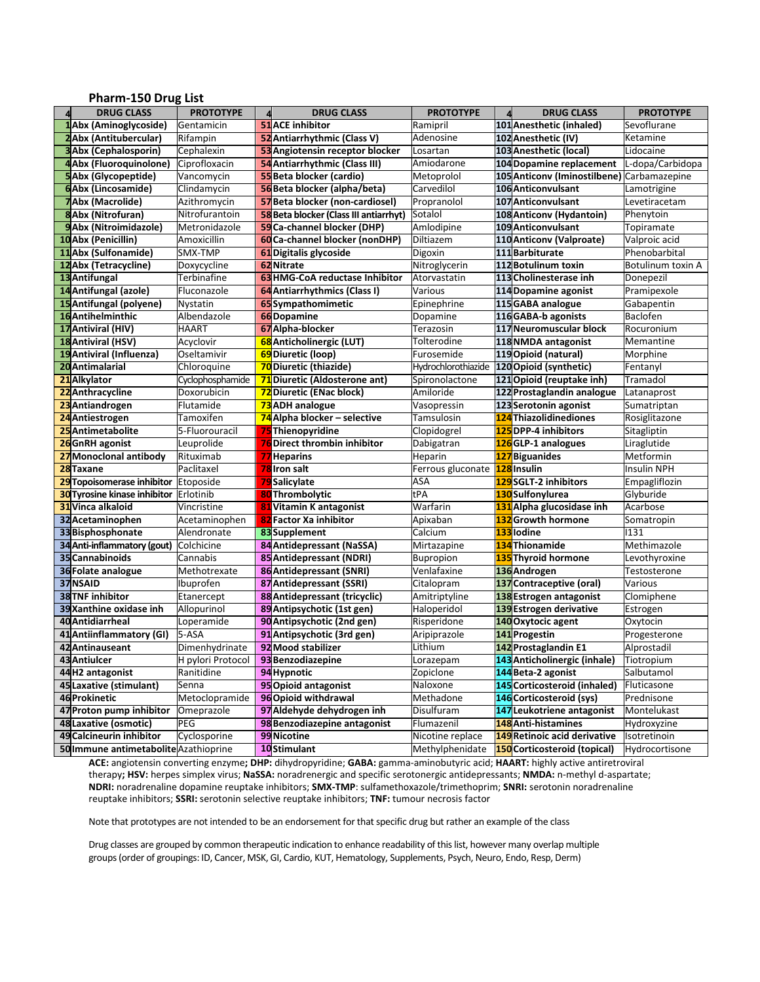#### **Pharm-150 Drug List**

| <b>DRUG CLASS</b>                        | <b>PROTOTYPE</b>                    | $\Delta$ | <b>DRUG CLASS</b>                                          | <b>PROTOTYPE</b>              | <b>DRUG CLASS</b>                                        | <b>PROTOTYPE</b>            |
|------------------------------------------|-------------------------------------|----------|------------------------------------------------------------|-------------------------------|----------------------------------------------------------|-----------------------------|
| 1Abx (Aminoglycoside)                    | Gentamicin                          |          | <b>51</b> ACE inhibitor                                    | Ramipril                      | 101 Anesthetic (inhaled)                                 | Sevoflurane                 |
| 2Abx (Antitubercular)                    | Rifampin                            |          | 52 Antiarrhythmic (Class V)                                | Adenosine                     | 102 Anesthetic (IV)                                      | Ketamine                    |
| <b>3</b> Abx (Cephalosporin)             | Cephalexin                          |          | 53 Angiotensin receptor blocker                            | Losartan                      | 103 Anesthetic (local)                                   | Lidocaine                   |
| 4Abx (Fluoroquinolone)                   | Ciprofloxacin                       |          | 54 Antiarrhythmic (Class III)                              | Amiodarone                    | 104 Dopamine replacement                                 | L-dopa/Carbidopa            |
| <b>5</b> Abx (Glycopeptide)              | Vancomycin                          |          | 55 Beta blocker (cardio)                                   | Metoprolol                    | 105 Anticony (Iminostilbene) Carbamazepine               |                             |
| 6Abx (Lincosamide)                       | Clindamycin                         |          | 56 Beta blocker (alpha/beta)                               | Carvedilol                    | 106 Anticonvulsant                                       | Lamotrigine                 |
| 7Abx (Macrolide)                         | Azithromycin                        |          | 57 Beta blocker (non-cardiosel)                            | Propranolol                   | 107 Anticonvulsant                                       | Levetiracetam               |
| 8Abx (Nitrofuran)                        | Nitrofurantoin                      |          | 58 Beta blocker (Class III antiarrhyt)                     | Sotalol                       | 108 Anticonv (Hydantoin)                                 | Phenytoin                   |
| 9Abx (Nitroimidazole)                    | Metronidazole                       |          | 59 Ca-channel blocker (DHP)                                | Amlodipine                    | 109 Anticonvulsant                                       | Topiramate                  |
| 10 Abx (Penicillin)                      | Amoxicillin                         |          | 60 Ca-channel blocker (nonDHP)                             | Diltiazem                     | 110 Anticonv (Valproate)                                 | Valproic acid               |
| 11 Abx (Sulfonamide)                     | SMX-TMP                             |          | 61 Digitalis glycoside                                     | Digoxin                       | 111Barbiturate                                           | Phenobarbital               |
| 12 Abx (Tetracycline)                    | Doxycycline                         |          | 62 Nitrate                                                 | Nitroglycerin                 | 112 Botulinum toxin                                      | Botulinum toxin A           |
| 13 Antifungal                            | Terbinafine                         |          | 63 HMG-CoA reductase Inhibitor                             | Atorvastatin                  | 113 Cholinesterase inh                                   | Donepezil                   |
| 14 Antifungal (azole)                    | Fluconazole                         |          | 64 Antiarrhythmics (Class I)                               | Various                       | 114 Dopamine agonist                                     | Pramipexole                 |
| 15 Antifungal (polyene)                  | Nystatin                            |          | 65 Sympathomimetic                                         | Epinephrine                   | 115 GABA analogue                                        | Gabapentin                  |
| 16 Antihelminthic                        | Albendazole                         |          | <b>66Dopamine</b>                                          | Dopamine                      | 116GABA-b agonists                                       | Baclofen                    |
| 17 Antiviral (HIV)                       | HAART                               |          | 67 Alpha-blocker                                           | Terazosin                     | 117 Neuromuscular block                                  | Rocuronium                  |
| 18 Antiviral (HSV)                       | Acyclovir                           |          | 68 Anticholinergic (LUT)                                   | Tolterodine                   | 118 NMDA antagonist                                      | Memantine                   |
| 19 Antiviral (Influenza)                 | Oseltamivir                         |          | 69 Diuretic (loop)                                         | Furosemide                    | 119 Opioid (natural)                                     | Morphine                    |
| 20 Antimalarial                          | Chloroquine                         |          | 70 Diuretic (thiazide)                                     | Hydrochlorothiazide           | 120 Opioid (synthetic)                                   | Fentanyl                    |
| 21 Alkylator                             | Cyclophosphamide                    |          | 71 Diuretic (Aldosterone ant)                              | Spironolactone                | 121 Opioid (reuptake inh)                                | Tramadol                    |
| 22 Anthracycline                         | Doxorubicin                         |          | 72 Diuretic (ENac block)                                   | Amiloride                     | 122 Prostaglandin analogue                               | Latanaprost                 |
| 23 Antiandrogen                          | Flutamide                           |          | 73 ADH analogue                                            | Vasopressin                   | 123 Serotonin agonist                                    | Sumatriptan                 |
| 24 Antiestrogen                          | Tamoxifen                           |          | 74 Alpha blocker – selective                               | Tamsulosin                    | 124 Thiazolidinediones                                   | Rosiglitazone               |
| 25 Antimetabolite                        | 5-Fluorouracil                      |          | 75 Thienopyridine                                          | Clopidogrel                   | 125 DPP-4 inhibitors                                     | Sitagliptin                 |
| 26 GnRH agonist                          | Leuprolide                          |          | 76 Direct thrombin inhibitor                               | Dabigatran                    | 126 GLP-1 analogues                                      | Liraglutide                 |
| 27 Monoclonal antibody                   | Rituximab                           |          | 77 Heparins                                                | Heparin                       | 127Biguanides                                            | Metformin                   |
| 28 Taxane                                | Paclitaxel                          |          | 78 Iron salt                                               | Ferrous gluconate 128 Insulin |                                                          | Insulin NPH                 |
| 29 Topoisomerase inhibitor               | Etoposide                           |          | 79 Salicylate                                              | ASA                           | 129SGLT-2 inhibitors                                     | Empagliflozin               |
| <b>30</b> Tyrosine kinase inhibitor      | Erlotinib                           |          | 80 Thrombolytic                                            | tPA                           | 130Sulfonylurea                                          | Glyburide                   |
| 31 Vinca alkaloid                        | Vincristine                         |          | 81 Vitamin K antagonist                                    | Warfarin                      | 131 Alpha glucosidase inh                                | Acarbose                    |
| 32 Acetaminophen                         | Acetaminophen                       |          | 82 Factor Xa inhibitor                                     | Apixaban                      | 132 Growth hormone                                       | Somatropin                  |
| 33 Bisphosphonate                        | Alendronate                         |          | 83Supplement                                               | Calcium                       | 133 lodine                                               | 1131                        |
| 34 Anti-inflammatory (gout)              | Colchicine                          |          | 84 Antidepressant (NaSSA)                                  | Mirtazapine                   | 134 Thionamide                                           | Methimazole                 |
| 35 Cannabinoids                          | Cannabis                            |          | 85 Antidepressant (NDRI)                                   | <b>Bupropion</b>              | 135 Thyroid hormone                                      | Levothyroxine               |
| 36 Folate analogue                       | Methotrexate                        |          | 86 Antidepressant (SNRI)                                   | Venlafaxine                   | 136 Androgen                                             | Testosterone                |
| 37 NSAID                                 | Ibuprofen                           |          | 87 Antidepressant (SSRI)                                   | Citalopram                    | 137 Contraceptive (oral)                                 | Various                     |
| <b>38 TNF inhibitor</b>                  | Etanercept                          |          | 88 Antidepressant (tricyclic)                              | Amitriptyline                 | 138 Estrogen antagonist                                  | Clomiphene                  |
| 39 Xanthine oxidase inh                  | Allopurinol                         |          | 89 Antipsychotic (1st gen)                                 | Haloperidol                   | 139 Estrogen derivative                                  | Estrogen                    |
| 40 Antidiarrheal                         | Loperamide                          |          | 90 Antipsychotic (2nd gen)                                 | Risperidone                   | 140 Oxytocic agent                                       | Oxytocin                    |
| 41 Antiinflammatory (GI)                 | 5-ASA                               |          | 91 Antipsychotic (3rd gen)                                 | Aripiprazole                  | 141 Progestin                                            | Progesterone                |
| 42 Antinauseant                          | Dimenhydrinate                      |          | 92 Mood stabilizer                                         | Lithium                       | 142 Prostaglandin E1                                     | Alprostadil                 |
| 43 Antiulcer                             | H pylori Protocol 93 Benzodiazepine |          |                                                            | Lorazepam                     | 143 Anticholinergic (inhale)                             | Tiotropium                  |
| 44H2 antagonist                          | Ranitidine                          |          | 94 Hypnotic                                                | Zopiclone                     | 144 Beta-2 agonist                                       | Salbutamol                  |
| 45 Laxative (stimulant)<br>46 Prokinetic | Senna                               |          | 95 Opioid antagonist                                       | Naloxone                      | 145 Corticosteroid (inhaled)<br>146 Corticosteroid (sys) | Fluticasone                 |
| 47 Proton pump inhibitor                 | Metoclopramide                      |          | 96 Opioid withdrawal                                       | Methadone                     |                                                          | Prednisone<br>Montelukast   |
| 48 Laxative (osmotic)                    | Omeprazole<br>PEG                   |          | 97 Aldehyde dehydrogen inh<br>98 Benzodiazepine antagonist | Disulfuram<br>Flumazenil      | 147 Leukotriene antagonist                               |                             |
| 49 Calcineurin inhibitor                 | Cyclosporine                        |          | 99 Nicotine                                                | Nicotine replace              | 148 Anti-histamines<br>149 Retinoic acid derivative      | Hydroxyzine<br>Isotretinoin |
| 50 Immune antimetabolite Azathioprine    |                                     |          | 10Stimulant                                                | Methylphenidate               | 150 Corticosteroid (topical)                             | Hydrocortisone              |
|                                          |                                     |          |                                                            |                               |                                                          |                             |

**0 ACE:** angiotensin converting enzyme**; DHP:** dihydropyridine; **GABA:** gamma-aminobutyric acid; **HAART:** highly active antiretroviral therapy**; HSV:** herpes simplex virus; **NaSSA:** noradrenergic and specific serotonergic antidepressants; **NMDA:** n-methyl d-aspartate; **NDRI:** noradrenaline dopamine reuptake inhibitors; **SMX-TMP**: sulfamethoxazole/trimethoprim; **SNRI:** serotonin noradrenaline reuptake inhibitors; **SSRI:** serotonin selective reuptake inhibitors; **TNF:** tumour necrosis factor

Note that prototypes are not intended to be an endorsement for that specific drug but rather an example of the class

Drug classes are grouped by common therapeutic indication to enhance readability of this list, however many overlap multiple groups (order of groupings: ID, Cancer, MSK, GI, Cardio, KUT, Hematology, Supplements, Psych, Neuro, Endo, Resp, Derm)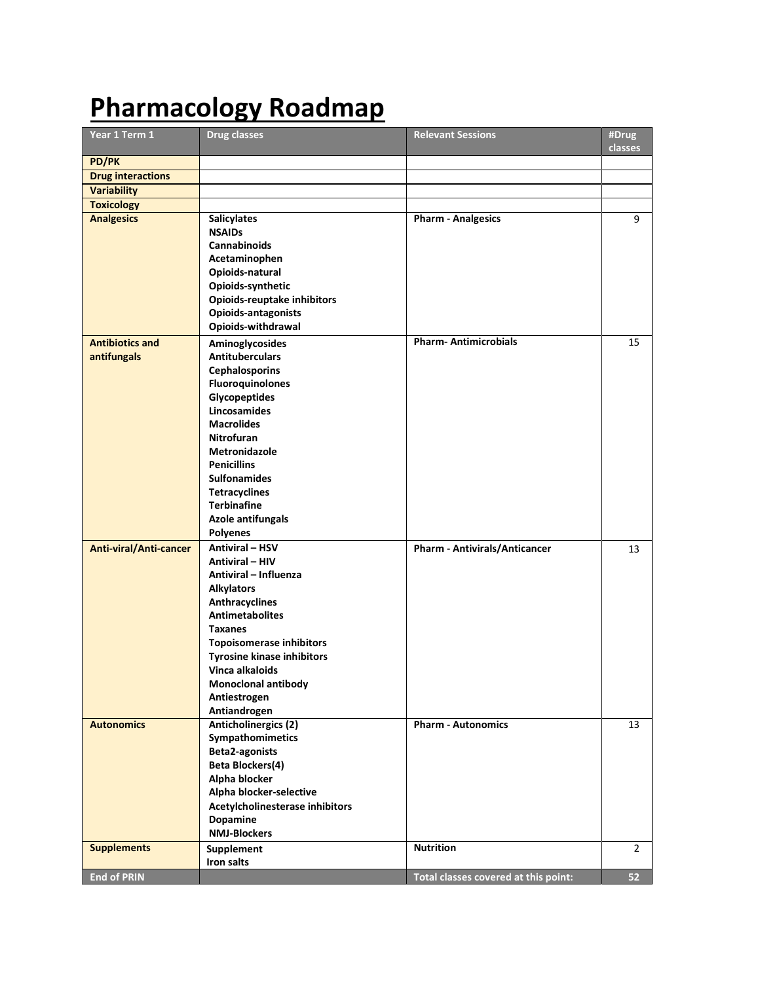# **Pharmacology Roadmap**

| Year 1 Term 1            | <b>Drug classes</b>                                  | <b>Relevant Sessions</b>             | #Drug<br><b>classes</b> |
|--------------------------|------------------------------------------------------|--------------------------------------|-------------------------|
| <b>PD/PK</b>             |                                                      |                                      |                         |
| <b>Drug interactions</b> |                                                      |                                      |                         |
| <b>Variability</b>       |                                                      |                                      |                         |
| <b>Toxicology</b>        |                                                      |                                      |                         |
| <b>Analgesics</b>        | <b>Salicylates</b>                                   | <b>Pharm - Analgesics</b>            | 9                       |
|                          | <b>NSAIDs</b>                                        |                                      |                         |
|                          | <b>Cannabinoids</b>                                  |                                      |                         |
|                          | Acetaminophen                                        |                                      |                         |
|                          | Opioids-natural                                      |                                      |                         |
|                          | Opioids-synthetic                                    |                                      |                         |
|                          | <b>Opioids-reuptake inhibitors</b>                   |                                      |                         |
|                          | Opioids-antagonists                                  |                                      |                         |
|                          | Opioids-withdrawal                                   |                                      |                         |
| <b>Antibiotics and</b>   | Aminoglycosides                                      | <b>Pharm-Antimicrobials</b>          | 15                      |
| antifungals              | <b>Antituberculars</b>                               |                                      |                         |
|                          | <b>Cephalosporins</b>                                |                                      |                         |
|                          | <b>Fluoroquinolones</b>                              |                                      |                         |
|                          | <b>Glycopeptides</b><br><b>Lincosamides</b>          |                                      |                         |
|                          | <b>Macrolides</b>                                    |                                      |                         |
|                          | <b>Nitrofuran</b>                                    |                                      |                         |
|                          | <b>Metronidazole</b>                                 |                                      |                         |
|                          | <b>Penicillins</b>                                   |                                      |                         |
|                          | <b>Sulfonamides</b>                                  |                                      |                         |
|                          | <b>Tetracyclines</b>                                 |                                      |                         |
|                          | <b>Terbinafine</b>                                   |                                      |                         |
|                          | <b>Azole antifungals</b>                             |                                      |                         |
|                          | <b>Polyenes</b>                                      |                                      |                         |
| Anti-viral/Anti-cancer   | <b>Antiviral - HSV</b>                               | <b>Pharm - Antivirals/Anticancer</b> | 13                      |
|                          | <b>Antiviral - HIV</b>                               |                                      |                         |
|                          | Antiviral - Influenza                                |                                      |                         |
|                          | <b>Alkylators</b>                                    |                                      |                         |
|                          | <b>Anthracyclines</b>                                |                                      |                         |
|                          | <b>Antimetabolites</b>                               |                                      |                         |
|                          | Taxanes                                              |                                      |                         |
|                          | <b>Topoisomerase inhibitors</b>                      |                                      |                         |
|                          | <b>Tyrosine kinase inhibitors</b><br>Vinca alkaloids |                                      |                         |
|                          | Monoclonal antibody                                  |                                      |                         |
|                          | Antiestrogen                                         |                                      |                         |
|                          | Antiandrogen                                         |                                      |                         |
| <b>Autonomics</b>        | <b>Anticholinergics (2)</b>                          | <b>Pharm - Autonomics</b>            | 13                      |
|                          | Sympathomimetics                                     |                                      |                         |
|                          | <b>Beta2-agonists</b>                                |                                      |                         |
|                          | <b>Beta Blockers(4)</b>                              |                                      |                         |
|                          | Alpha blocker                                        |                                      |                         |
|                          | Alpha blocker-selective                              |                                      |                         |
|                          | Acetylcholinesterase inhibitors                      |                                      |                         |
|                          | Dopamine                                             |                                      |                         |
|                          | <b>NMJ-Blockers</b>                                  |                                      |                         |
| <b>Supplements</b>       | Supplement                                           | <b>Nutrition</b>                     | $\overline{2}$          |
|                          | Iron salts                                           |                                      |                         |
| <b>End of PRIN</b>       |                                                      | Total classes covered at this point: | 52                      |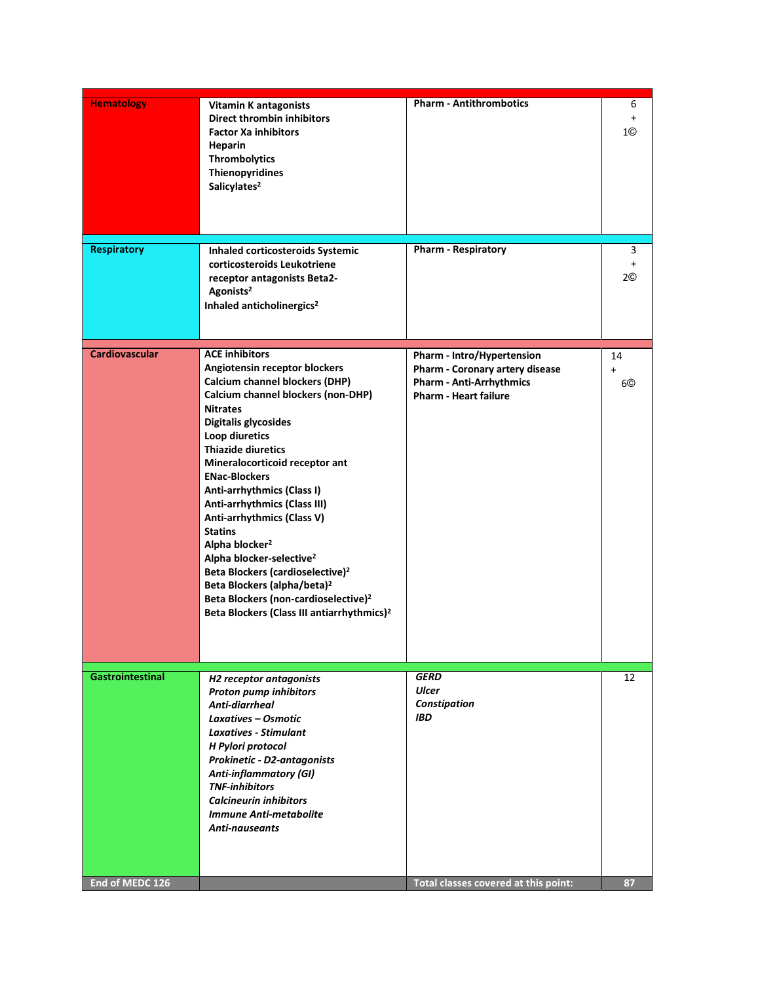| <b>Pharm - Respiratory</b><br><b>Respiratory</b><br><b>Inhaled corticosteroids Systemic</b><br>corticosteroids Leukotriene<br>receptor antagonists Beta2-<br>Agonists <sup>2</sup><br>Inhaled anticholinergics <sup>2</sup><br><b>ACE inhibitors</b><br><b>Cardiovascular</b><br>Pharm - Intro/Hypertension<br>14<br>Angiotensin receptor blockers<br>Pharm - Coronary artery disease<br>$\ddot{}$<br><b>Calcium channel blockers (DHP)</b><br><b>Pharm - Anti-Arrhythmics</b><br>Calcium channel blockers (non-DHP)<br><b>Pharm - Heart failure</b><br><b>Nitrates</b><br>Digitalis glycosides<br>Loop diuretics<br><b>Thiazide diuretics</b><br>Mineralocorticoid receptor ant<br><b>ENac-Blockers</b><br>Anti-arrhythmics (Class I)<br>Anti-arrhythmics (Class III)<br>Anti-arrhythmics (Class V)<br><b>Statins</b><br>Alpha blocker <sup>2</sup><br>Alpha blocker-selective <sup>2</sup><br>Beta Blockers (cardioselective) <sup>2</sup><br>Beta Blockers (alpha/beta) <sup>2</sup><br>Beta Blockers (non-cardioselective) <sup>2</sup><br>Beta Blockers (Class III antiarrhythmics) <sup>2</sup><br><b>Gastrointestinal</b><br><b>GERD</b><br><b>H2</b> receptor antagonists<br>Ulcer<br><b>Proton pump inhibitors</b><br>Constipation<br>Anti-diarrheal<br><b>IBD</b><br>Laxatives - Osmotic<br><b>Laxatives - Stimulant</b><br>H Pylori protocol<br><b>Prokinetic - D2-antagonists</b><br><b>Anti-inflammatory (GI)</b><br><b>TNF-inhibitors</b><br><b>Calcineurin inhibitors</b><br><b>Immune Anti-metabolite</b><br><b>Anti-nauseants</b> | <b>Hematology</b> | <b>Vitamin K antagonists</b><br><b>Direct thrombin inhibitors</b><br><b>Factor Xa inhibitors</b><br>Heparin<br><b>Thrombolytics</b><br>Thienopyridines<br>Salicylates <sup>2</sup> | <b>Pharm - Antithrombotics</b> | 6<br>$\ddot{}$<br>1© |
|----------------------------------------------------------------------------------------------------------------------------------------------------------------------------------------------------------------------------------------------------------------------------------------------------------------------------------------------------------------------------------------------------------------------------------------------------------------------------------------------------------------------------------------------------------------------------------------------------------------------------------------------------------------------------------------------------------------------------------------------------------------------------------------------------------------------------------------------------------------------------------------------------------------------------------------------------------------------------------------------------------------------------------------------------------------------------------------------------------------------------------------------------------------------------------------------------------------------------------------------------------------------------------------------------------------------------------------------------------------------------------------------------------------------------------------------------------------------------------------------------------------------------------------------------|-------------------|------------------------------------------------------------------------------------------------------------------------------------------------------------------------------------|--------------------------------|----------------------|
|                                                                                                                                                                                                                                                                                                                                                                                                                                                                                                                                                                                                                                                                                                                                                                                                                                                                                                                                                                                                                                                                                                                                                                                                                                                                                                                                                                                                                                                                                                                                                    |                   |                                                                                                                                                                                    |                                | 3<br>$\ddot{}$<br>2© |
|                                                                                                                                                                                                                                                                                                                                                                                                                                                                                                                                                                                                                                                                                                                                                                                                                                                                                                                                                                                                                                                                                                                                                                                                                                                                                                                                                                                                                                                                                                                                                    |                   |                                                                                                                                                                                    |                                | 6©                   |
| End of MEDC 126<br>Total classes covered at this point:                                                                                                                                                                                                                                                                                                                                                                                                                                                                                                                                                                                                                                                                                                                                                                                                                                                                                                                                                                                                                                                                                                                                                                                                                                                                                                                                                                                                                                                                                            |                   |                                                                                                                                                                                    |                                | 12<br>87             |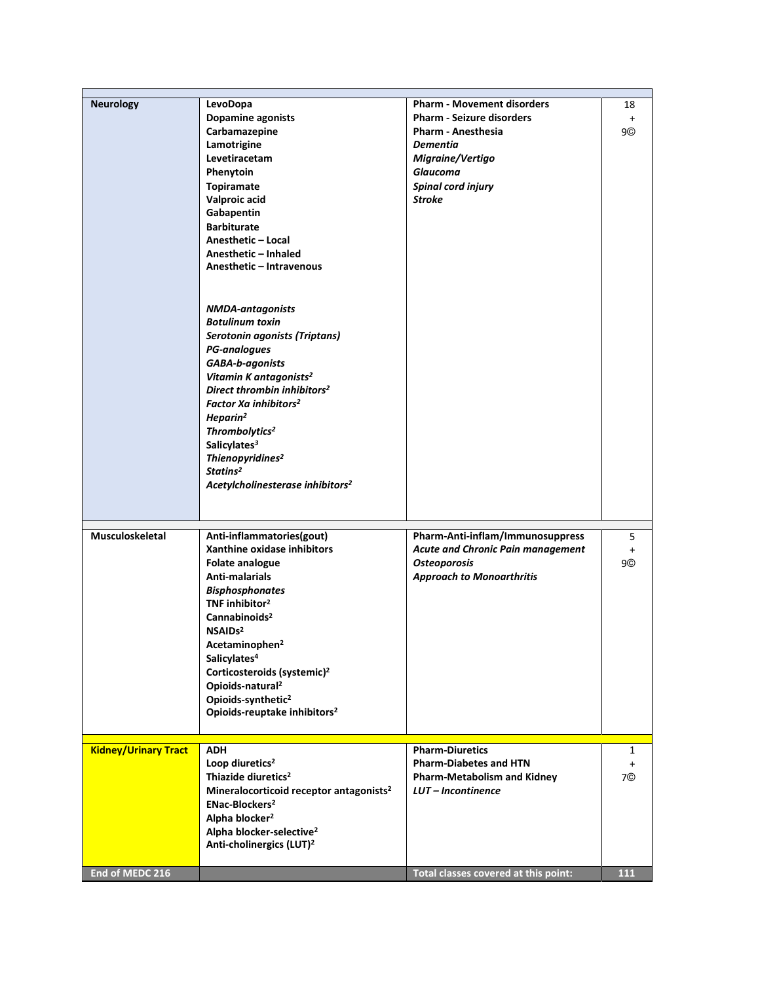| <b>Neurology</b>            | LevoDopa                                                                     | <b>Pharm - Movement disorders</b>    | 18           |
|-----------------------------|------------------------------------------------------------------------------|--------------------------------------|--------------|
|                             | Dopamine agonists                                                            | <b>Pharm - Seizure disorders</b>     | $+$          |
|                             | Carbamazepine                                                                | <b>Pharm - Anesthesia</b>            | 9©           |
|                             | Lamotrigine                                                                  | <b>Dementia</b>                      |              |
|                             | Levetiracetam                                                                | Migraine/Vertigo                     |              |
|                             | Phenytoin                                                                    | <b>Glaucoma</b>                      |              |
|                             | Topiramate                                                                   | <b>Spinal cord injury</b>            |              |
|                             | Valproic acid                                                                | <b>Stroke</b>                        |              |
|                             | Gabapentin                                                                   |                                      |              |
|                             | <b>Barbiturate</b>                                                           |                                      |              |
|                             | Anesthetic - Local                                                           |                                      |              |
|                             | Anesthetic - Inhaled                                                         |                                      |              |
|                             | Anesthetic - Intravenous                                                     |                                      |              |
|                             |                                                                              |                                      |              |
|                             |                                                                              |                                      |              |
|                             | <b>NMDA-antagonists</b><br><b>Botulinum toxin</b>                            |                                      |              |
|                             | Serotonin agonists (Triptans)                                                |                                      |              |
|                             | <b>PG-analogues</b>                                                          |                                      |              |
|                             | <b>GABA-b-agonists</b>                                                       |                                      |              |
|                             | Vitamin K antagonists <sup>2</sup>                                           |                                      |              |
|                             | Direct thrombin inhibitors <sup>2</sup>                                      |                                      |              |
|                             | Factor Xa inhibitors <sup>2</sup>                                            |                                      |              |
|                             | Heparin <sup>2</sup>                                                         |                                      |              |
|                             | Thrombolytics <sup>2</sup>                                                   |                                      |              |
|                             | Salicylates <sup>3</sup>                                                     |                                      |              |
|                             | Thienopyridines <sup>2</sup>                                                 |                                      |              |
|                             | Statins <sup>2</sup>                                                         |                                      |              |
|                             | Acetylcholinesterase inhibitors <sup>2</sup>                                 |                                      |              |
|                             |                                                                              |                                      |              |
|                             |                                                                              |                                      |              |
| <b>Musculoskeletal</b>      | Anti-inflammatories(gout)                                                    | Pharm-Anti-inflam/Immunosuppress     | 5            |
|                             | Xanthine oxidase inhibitors                                                  | Acute and Chronic Pain management    | $+$          |
|                             | <b>Folate analogue</b>                                                       | <b>Osteoporosis</b>                  | 9©           |
|                             | Anti-malarials                                                               | <b>Approach to Monoarthritis</b>     |              |
|                             | <b>Bisphosphonates</b>                                                       |                                      |              |
|                             | TNF inhibitor <sup>2</sup>                                                   |                                      |              |
|                             | Cannabinoids <sup>2</sup>                                                    |                                      |              |
|                             | NSAID <sub>s2</sub>                                                          |                                      |              |
|                             | Acetaminophen <sup>2</sup>                                                   |                                      |              |
|                             | Salicylates <sup>4</sup>                                                     |                                      |              |
|                             | Corticosteroids (systemic) <sup>2</sup>                                      |                                      |              |
|                             | Opioids-natural <sup>2</sup>                                                 |                                      |              |
|                             | Opioids-synthetic <sup>2</sup>                                               |                                      |              |
|                             | Opioids-reuptake inhibitors <sup>2</sup>                                     |                                      |              |
|                             |                                                                              |                                      |              |
| <b>Kidney/Urinary Tract</b> | <b>ADH</b>                                                                   | <b>Pharm-Diuretics</b>               | $\mathbf{1}$ |
|                             | Loop diuretics <sup>2</sup>                                                  | <b>Pharm-Diabetes and HTN</b>        | $\ddot{}$    |
|                             | Thiazide diuretics <sup>2</sup>                                              | <b>Pharm-Metabolism and Kidney</b>   | 7©           |
|                             | Mineralocorticoid receptor antagonists <sup>2</sup>                          | LUT-Incontinence                     |              |
|                             | ENac-Blockers <sup>2</sup>                                                   |                                      |              |
|                             | Alpha blocker <sup>2</sup>                                                   |                                      |              |
|                             | Alpha blocker-selective <sup>2</sup><br>Anti-cholinergics (LUT) <sup>2</sup> |                                      |              |
|                             |                                                                              |                                      |              |
| End of MEDC 216             |                                                                              | Total classes covered at this point: | 111          |